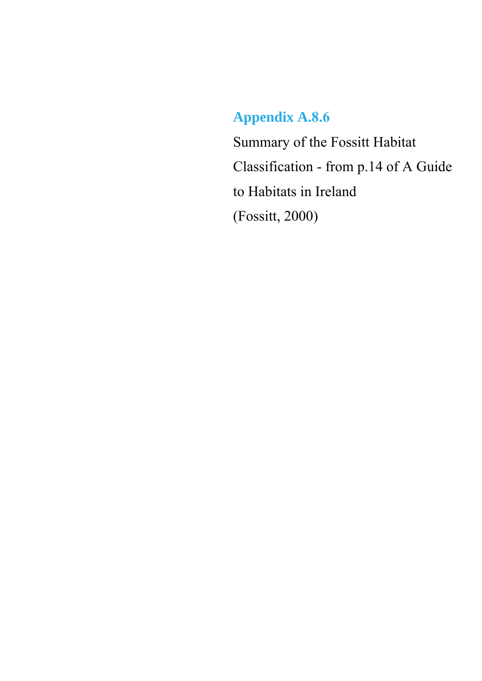## **Appendix A.8.6**

Summary of the Fossitt Habitat Classification - from p.14 of A Guide to Habitats in Ireland (Fossitt, 2000)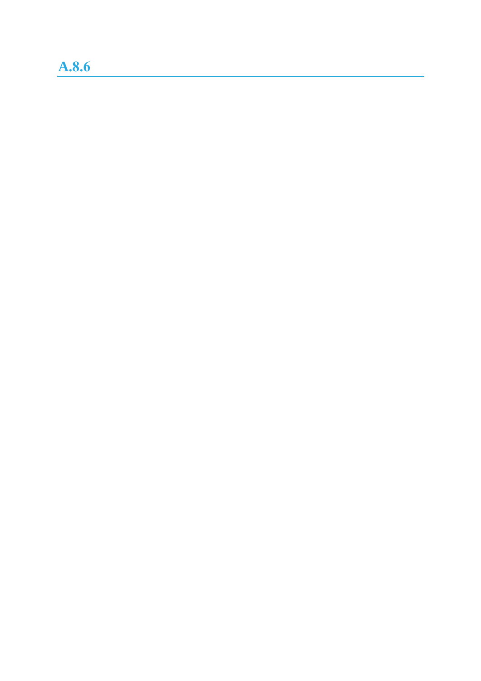## **A.8.6**